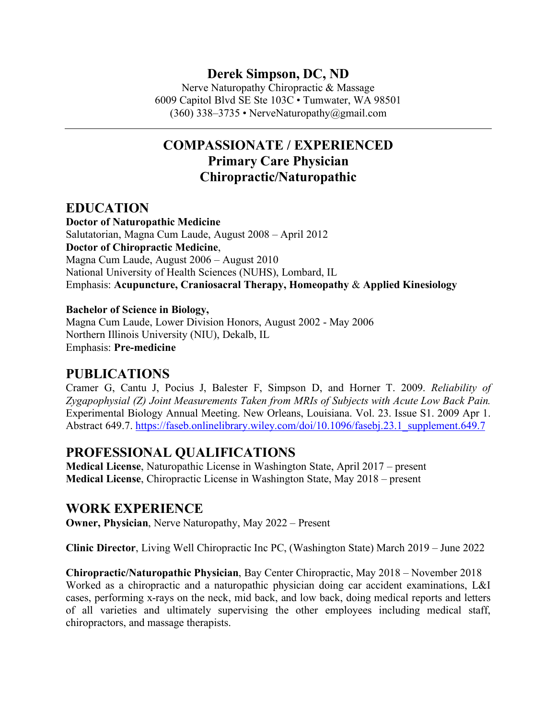# **Derek Simpson, DC, ND**

Nerve Naturopathy Chiropractic & Massage 6009 Capitol Blvd SE Ste 103C • Tumwater, WA 98501 (360) 338–3735 • NerveNaturopathy@gmail.com

# **COMPASSIONATE / EXPERIENCED Primary Care Physician Chiropractic/Naturopathic**

# **EDUCATION**

**Doctor of Naturopathic Medicine** Salutatorian, Magna Cum Laude, August 2008 – April 2012 **Doctor of Chiropractic Medicine**, Magna Cum Laude, August 2006 – August 2010 National University of Health Sciences (NUHS), Lombard, IL Emphasis: **Acupuncture, Craniosacral Therapy, Homeopathy** & **Applied Kinesiology**

#### **Bachelor of Science in Biology,**

Magna Cum Laude, Lower Division Honors, August 2002 - May 2006 Northern Illinois University (NIU), Dekalb, IL Emphasis: **Pre-medicine**

### **PUBLICATIONS**

Cramer G, Cantu J, Pocius J, Balester F, Simpson D, and Horner T. 2009. *Reliability of Zygapophysial (Z) Joint Measurements Taken from MRIs of Subjects with Acute Low Back Pain.* Experimental Biology Annual Meeting. New Orleans, Louisiana. Vol. 23. Issue S1. 2009 Apr 1. Abstract 649.7. https://faseb.onlinelibrary.wiley.com/doi/10.1096/fasebj.23.1\_supplement.649.7

# **PROFESSIONAL QUALIFICATIONS**

**Medical License**, Naturopathic License in Washington State, April 2017 – present **Medical License**, Chiropractic License in Washington State, May 2018 – present

# **WORK EXPERIENCE**

**Owner, Physician**, Nerve Naturopathy, May 2022 – Present

**Clinic Director**, Living Well Chiropractic Inc PC, (Washington State) March 2019 – June 2022

**Chiropractic/Naturopathic Physician**, Bay Center Chiropractic, May 2018 – November 2018 Worked as a chiropractic and a naturopathic physician doing car accident examinations, L&I cases, performing x-rays on the neck, mid back, and low back, doing medical reports and letters of all varieties and ultimately supervising the other employees including medical staff, chiropractors, and massage therapists.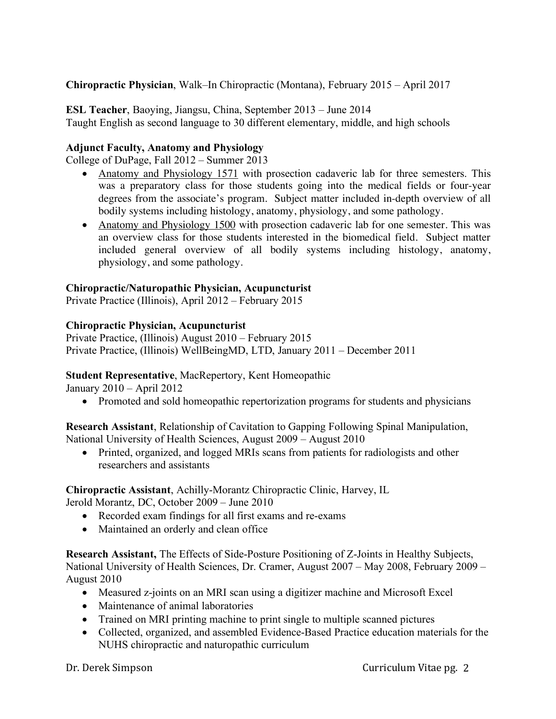#### **Chiropractic Physician**, Walk–In Chiropractic (Montana), February 2015 – April 2017

**ESL Teacher**, Baoying, Jiangsu, China, September 2013 – June 2014 Taught English as second language to 30 different elementary, middle, and high schools

#### **Adjunct Faculty, Anatomy and Physiology**

College of DuPage, Fall 2012 – Summer 2013

- Anatomy and Physiology 1571 with prosection cadaveric lab for three semesters. This was a preparatory class for those students going into the medical fields or four-year degrees from the associate's program. Subject matter included in-depth overview of all bodily systems including histology, anatomy, physiology, and some pathology.
- Anatomy and Physiology 1500 with prosection cadaveric lab for one semester. This was an overview class for those students interested in the biomedical field. Subject matter included general overview of all bodily systems including histology, anatomy, physiology, and some pathology.

#### **Chiropractic/Naturopathic Physician, Acupuncturist**

Private Practice (Illinois), April 2012 – February 2015

#### **Chiropractic Physician, Acupuncturist**

Private Practice, (Illinois) August 2010 – February 2015 Private Practice, (Illinois) WellBeingMD, LTD, January 2011 – December 2011

#### **Student Representative**, MacRepertory, Kent Homeopathic

January 2010 – April 2012

• Promoted and sold homeopathic repertorization programs for students and physicians

**Research Assistant**, Relationship of Cavitation to Gapping Following Spinal Manipulation, National University of Health Sciences, August 2009 – August 2010

• Printed, organized, and logged MRIs scans from patients for radiologists and other researchers and assistants

#### **Chiropractic Assistant**, Achilly-Morantz Chiropractic Clinic, Harvey, IL

Jerold Morantz, DC, October 2009 – June 2010

- Recorded exam findings for all first exams and re-exams
- Maintained an orderly and clean office

**Research Assistant,** The Effects of Side-Posture Positioning of Z-Joints in Healthy Subjects, National University of Health Sciences, Dr. Cramer, August 2007 – May 2008, February 2009 – August 2010

- Measured z-joints on an MRI scan using a digitizer machine and Microsoft Excel
- Maintenance of animal laboratories
- Trained on MRI printing machine to print single to multiple scanned pictures
- Collected, organized, and assembled Evidence-Based Practice education materials for the NUHS chiropractic and naturopathic curriculum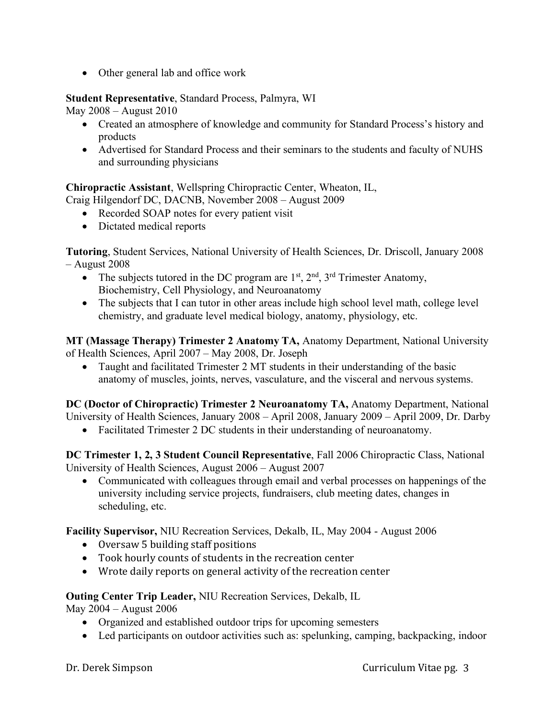• Other general lab and office work

#### **Student Representative**, Standard Process, Palmyra, WI

May 2008 – August 2010

- Created an atmosphere of knowledge and community for Standard Process's history and products
- Advertised for Standard Process and their seminars to the students and faculty of NUHS and surrounding physicians

#### **Chiropractic Assistant**, Wellspring Chiropractic Center, Wheaton, IL,

Craig Hilgendorf DC, DACNB, November 2008 – August 2009

- Recorded SOAP notes for every patient visit
- Dictated medical reports

**Tutoring**, Student Services, National University of Health Sciences, Dr. Driscoll, January 2008 – August 2008

- The subjects tutored in the DC program are  $1<sup>st</sup>$ ,  $2<sup>nd</sup>$ ,  $3<sup>rd</sup>$  Trimester Anatomy, Biochemistry, Cell Physiology, and Neuroanatomy
- The subjects that I can tutor in other areas include high school level math, college level chemistry, and graduate level medical biology, anatomy, physiology, etc.

**MT (Massage Therapy) Trimester 2 Anatomy TA,** Anatomy Department, National University of Health Sciences, April 2007 – May 2008, Dr. Joseph

• Taught and facilitated Trimester 2 MT students in their understanding of the basic anatomy of muscles, joints, nerves, vasculature, and the visceral and nervous systems.

**DC (Doctor of Chiropractic) Trimester 2 Neuroanatomy TA, Anatomy Department, National** University of Health Sciences, January 2008 – April 2008, January 2009 – April 2009, Dr. Darby

• Facilitated Trimester 2 DC students in their understanding of neuroanatomy.

**DC Trimester 1, 2, 3 Student Council Representative**, Fall 2006 Chiropractic Class, National University of Health Sciences, August 2006 – August 2007

• Communicated with colleagues through email and verbal processes on happenings of the university including service projects, fundraisers, club meeting dates, changes in scheduling, etc.

**Facility Supervisor,** NIU Recreation Services, Dekalb, IL, May 2004 - August 2006

- Oversaw 5 building staff positions
- Took hourly counts of students in the recreation center
- Wrote daily reports on general activity of the recreation center

#### **Outing Center Trip Leader,** NIU Recreation Services, Dekalb, IL

May 2004 – August 2006

- Organized and established outdoor trips for upcoming semesters
- Led participants on outdoor activities such as: spelunking, camping, backpacking, indoor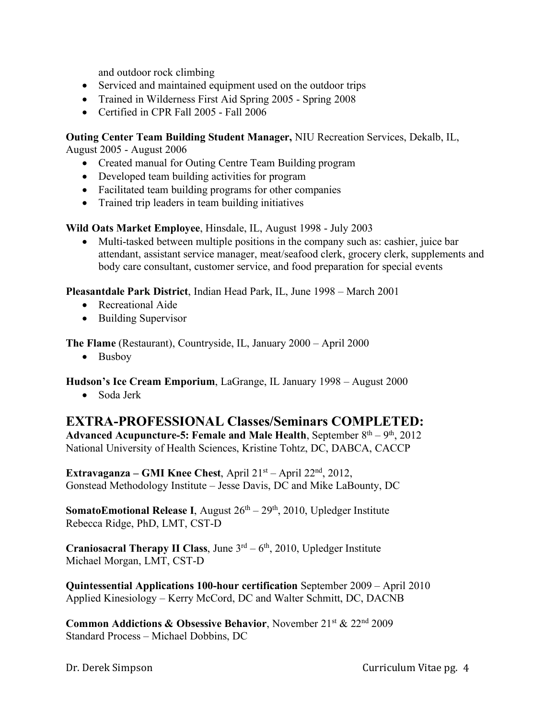and outdoor rock climbing

- Serviced and maintained equipment used on the outdoor trips
- Trained in Wilderness First Aid Spring 2005 Spring 2008
- Certified in CPR Fall 2005 Fall 2006

**Outing Center Team Building Student Manager,** NIU Recreation Services, Dekalb, IL,

August 2005 - August 2006

- Created manual for Outing Centre Team Building program
- Developed team building activities for program
- Facilitated team building programs for other companies
- Trained trip leaders in team building initiatives

**Wild Oats Market Employee**, Hinsdale, IL, August 1998 - July 2003

• Multi-tasked between multiple positions in the company such as: cashier, juice bar attendant, assistant service manager, meat/seafood clerk, grocery clerk, supplements and body care consultant, customer service, and food preparation for special events

**Pleasantdale Park District**, Indian Head Park, IL, June 1998 – March 2001

- Recreational Aide
- Building Supervisor

**The Flame** (Restaurant), Countryside, IL, January 2000 – April 2000

• Busboy

**Hudson's Ice Cream Emporium**, LaGrange, IL January 1998 – August 2000

• Soda Jerk

### **EXTRA-PROFESSIONAL Classes/Seminars COMPLETED:**

**Advanced Acupuncture-5: Female and Male Health**, September  $8<sup>th</sup> - 9<sup>th</sup>$ , 2012 National University of Health Sciences, Kristine Tohtz, DC, DABCA, CACCP

**Extravaganza – GMI Knee Chest**, April 21st – April 22nd, 2012, Gonstead Methodology Institute – Jesse Davis, DC and Mike LaBounty, DC

**SomatoEmotional Release I**, August  $26<sup>th</sup> - 29<sup>th</sup>$ , 2010, Upledger Institute Rebecca Ridge, PhD, LMT, CST-D

**Craniosacral Therapy II Class**, June  $3^{rd} - 6^{th}$ , 2010, Upledger Institute Michael Morgan, LMT, CST-D

**Quintessential Applications 100-hour certification** September 2009 – April 2010 Applied Kinesiology – Kerry McCord, DC and Walter Schmitt, DC, DACNB

**Common Addictions & Obsessive Behavior**, November 21<sup>st</sup> & 22<sup>nd</sup> 2009 Standard Process – Michael Dobbins, DC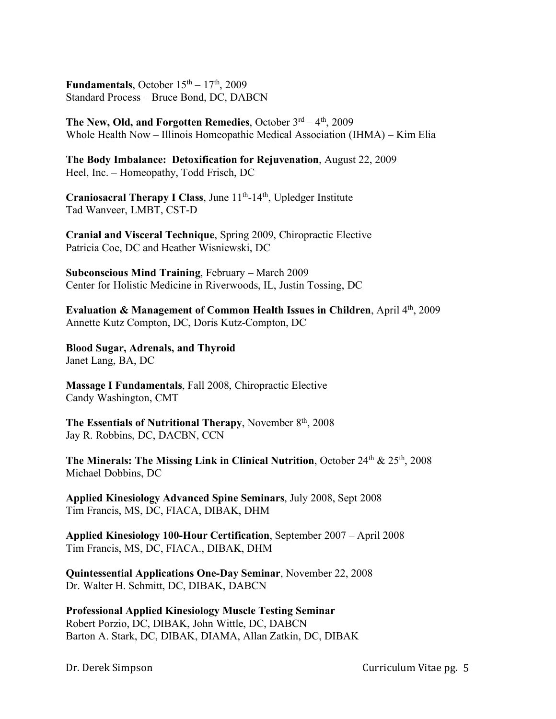**Fundamentals**, October  $15<sup>th</sup> - 17<sup>th</sup>$ , 2009 Standard Process – Bruce Bond, DC, DABCN

**The New, Old, and Forgotten Remedies**, October  $3^{rd} - 4^{th}$ , 2009 Whole Health Now – Illinois Homeopathic Medical Association (IHMA) – Kim Elia

**The Body Imbalance: Detoxification for Rejuvenation**, August 22, 2009 Heel, Inc. – Homeopathy, Todd Frisch, DC

**Craniosacral Therapy I Class**, June 11<sup>th</sup>-14<sup>th</sup>, Upledger Institute Tad Wanveer, LMBT, CST-D

**Cranial and Visceral Technique**, Spring 2009, Chiropractic Elective Patricia Coe, DC and Heather Wisniewski, DC

**Subconscious Mind Training**, February – March 2009 Center for Holistic Medicine in Riverwoods, IL, Justin Tossing, DC

**Evaluation & Management of Common Health Issues in Children**, April 4<sup>th</sup>, 2009 Annette Kutz Compton, DC, Doris Kutz-Compton, DC

**Blood Sugar, Adrenals, and Thyroid** Janet Lang, BA, DC

**Massage I Fundamentals**, Fall 2008, Chiropractic Elective Candy Washington, CMT

**The Essentials of Nutritional Therapy, November 8th, 2008** Jay R. Robbins, DC, DACBN, CCN

**The Minerals: The Missing Link in Clinical Nutrition, October 24<sup>th</sup> &**  $25<sup>th</sup>$ **, 2008** Michael Dobbins, DC

**Applied Kinesiology Advanced Spine Seminars**, July 2008, Sept 2008 Tim Francis, MS, DC, FIACA, DIBAK, DHM

**Applied Kinesiology 100-Hour Certification**, September 2007 – April 2008 Tim Francis, MS, DC, FIACA., DIBAK, DHM

**Quintessential Applications One-Day Seminar**, November 22, 2008 Dr. Walter H. Schmitt, DC, DIBAK, DABCN

**Professional Applied Kinesiology Muscle Testing Seminar** Robert Porzio, DC, DIBAK, John Wittle, DC, DABCN Barton A. Stark, DC, DIBAK, DIAMA, Allan Zatkin, DC, DIBAK

Dr. Derek Simpson **Curriculum** Vitae pg. 5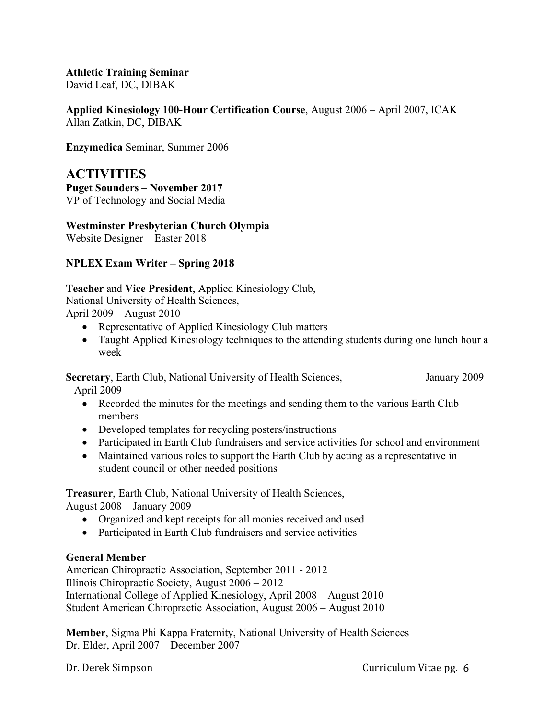#### **Athletic Training Seminar**

David Leaf, DC, DIBAK

**Applied Kinesiology 100-Hour Certification Course**, August 2006 – April 2007, ICAK Allan Zatkin, DC, DIBAK

**Enzymedica** Seminar, Summer 2006

## **ACTIVITIES**

**Puget Sounders – November 2017** VP of Technology and Social Media

### **Westminster Presbyterian Church Olympia**

Website Designer – Easter 2018

#### **NPLEX Exam Writer – Spring 2018**

#### **Teacher** and **Vice President**, Applied Kinesiology Club,

National University of Health Sciences,

April 2009 – August 2010

- Representative of Applied Kinesiology Club matters
- Taught Applied Kinesiology techniques to the attending students during one lunch hour a week

**Secretary**, Earth Club, National University of Health Sciences, January 2009 – April 2009

- - Recorded the minutes for the meetings and sending them to the various Earth Club members
	- Developed templates for recycling posters/instructions
	- Participated in Earth Club fundraisers and service activities for school and environment
	- Maintained various roles to support the Earth Club by acting as a representative in student council or other needed positions

**Treasurer**, Earth Club, National University of Health Sciences, August 2008 – January 2009

- Organized and kept receipts for all monies received and used
- Participated in Earth Club fundraisers and service activities

#### **General Member**

American Chiropractic Association, September 2011 - 2012 Illinois Chiropractic Society, August 2006 – 2012 International College of Applied Kinesiology, April 2008 – August 2010 Student American Chiropractic Association, August 2006 – August 2010

**Member**, Sigma Phi Kappa Fraternity, National University of Health Sciences Dr. Elder, April 2007 – December 2007

Dr. Derek Simpson **Curriculum** Vitae pg. 6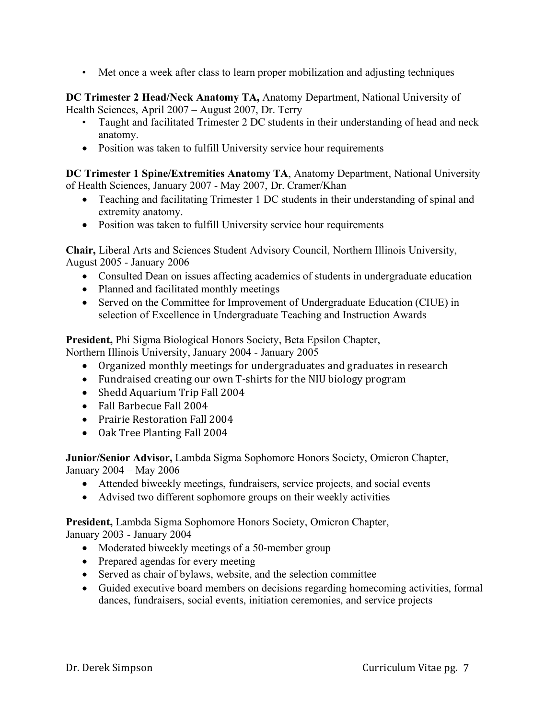• Met once a week after class to learn proper mobilization and adjusting techniques

**DC Trimester 2 Head/Neck Anatomy TA,** Anatomy Department, National University of Health Sciences, April 2007 – August 2007, Dr. Terry

- Taught and facilitated Trimester 2 DC students in their understanding of head and neck anatomy.
- Position was taken to fulfill University service hour requirements

**DC Trimester 1 Spine/Extremities Anatomy TA**, Anatomy Department, National University of Health Sciences, January 2007 - May 2007, Dr. Cramer/Khan

- Teaching and facilitating Trimester 1 DC students in their understanding of spinal and extremity anatomy.
- Position was taken to fulfill University service hour requirements

**Chair,** Liberal Arts and Sciences Student Advisory Council, Northern Illinois University, August 2005 - January 2006

- Consulted Dean on issues affecting academics of students in undergraduate education
- Planned and facilitated monthly meetings
- Served on the Committee for Improvement of Undergraduate Education (CIUE) in selection of Excellence in Undergraduate Teaching and Instruction Awards

**President,** Phi Sigma Biological Honors Society, Beta Epsilon Chapter,

Northern Illinois University, January 2004 - January 2005

- Organized monthly meetings for undergraduates and graduates in research
- Fundraised creating our own T-shirts for the NIU biology program
- Shedd Aquarium Trip Fall 2004
- Fall Barbecue Fall 2004
- Prairie Restoration Fall 2004
- Oak Tree Planting Fall 2004

**Junior/Senior Advisor,** Lambda Sigma Sophomore Honors Society, Omicron Chapter, January 2004 – May 2006

- Attended biweekly meetings, fundraisers, service projects, and social events
- Advised two different sophomore groups on their weekly activities

**President,** Lambda Sigma Sophomore Honors Society, Omicron Chapter, January 2003 - January 2004

- Moderated biweekly meetings of a 50-member group
- Prepared agendas for every meeting
- Served as chair of bylaws, website, and the selection committee
- Guided executive board members on decisions regarding homecoming activities, formal dances, fundraisers, social events, initiation ceremonies, and service projects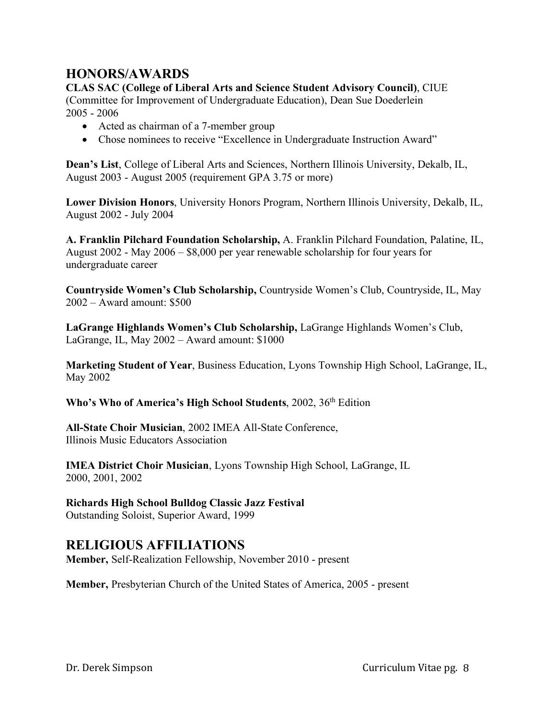# **HONORS/AWARDS**

**CLAS SAC (College of Liberal Arts and Science Student Advisory Council)**, CIUE (Committee for Improvement of Undergraduate Education), Dean Sue Doederlein 2005 - 2006

- Acted as chairman of a 7-member group
- Chose nominees to receive "Excellence in Undergraduate Instruction Award"

**Dean's List**, College of Liberal Arts and Sciences, Northern Illinois University, Dekalb, IL, August 2003 - August 2005 (requirement GPA 3.75 or more)

**Lower Division Honors**, University Honors Program, Northern Illinois University, Dekalb, IL, August 2002 - July 2004

**A. Franklin Pilchard Foundation Scholarship,** A. Franklin Pilchard Foundation, Palatine, IL, August 2002 - May 2006 – \$8,000 per year renewable scholarship for four years for undergraduate career

**Countryside Women's Club Scholarship,** Countryside Women's Club, Countryside, IL, May 2002 – Award amount: \$500

**LaGrange Highlands Women's Club Scholarship,** LaGrange Highlands Women's Club, LaGrange, IL, May 2002 – Award amount: \$1000

**Marketing Student of Year**, Business Education, Lyons Township High School, LaGrange, IL, May 2002

Who's Who of America's High School Students, 2002, 36<sup>th</sup> Edition

**All-State Choir Musician**, 2002 IMEA All-State Conference, Illinois Music Educators Association

**IMEA District Choir Musician**, Lyons Township High School, LaGrange, IL 2000, 2001, 2002

#### **Richards High School Bulldog Classic Jazz Festival**

Outstanding Soloist, Superior Award, 1999

# **RELIGIOUS AFFILIATIONS**

**Member,** Self-Realization Fellowship, November 2010 - present

**Member,** Presbyterian Church of the United States of America, 2005 - present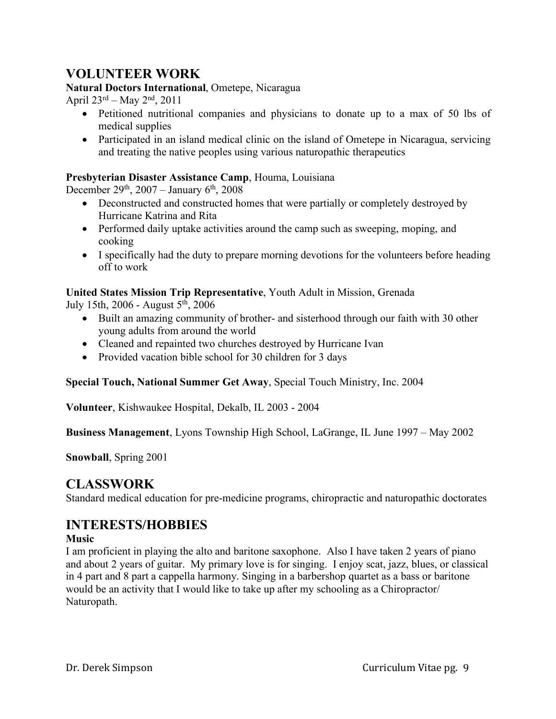# **VOLUNTEER WORK**

**Natural Doctors International**, Ometepe, Nicaragua

April  $23^{rd}$  – May  $2^{nd}$ , 2011

- Petitioned nutritional companies and physicians to donate up to a max of 50 lbs of medical supplies
- Participated in an island medical clinic on the island of Ometepe in Nicaragua, servicing and treating the native peoples using various naturopathic therapeutics

#### **Presbyterian Disaster Assistance Camp**, Houma, Louisiana

December 29<sup>th</sup>, 2007 – January  $6<sup>th</sup>$ , 2008

- Deconstructed and constructed homes that were partially or completely destroyed by Hurricane Katrina and Rita
- Performed daily uptake activities around the camp such as sweeping, moping, and cooking
- I specifically had the duty to prepare morning devotions for the volunteers before heading off to work

#### **United States Mission Trip Representative**, Youth Adult in Mission, Grenada

July 15th, 2006 - August  $5<sup>th</sup>$ , 2006

- Built an amazing community of brother- and sisterhood through our faith with 30 other young adults from around the world
- Cleaned and repainted two churches destroyed by Hurricane Ivan
- Provided vacation bible school for 30 children for 3 days

**Special Touch, National Summer Get Away**, Special Touch Ministry, Inc. 2004

**Volunteer**, Kishwaukee Hospital, Dekalb, IL 2003 - 2004

**Business Management**, Lyons Township High School, LaGrange, IL June 1997 – May 2002

#### **Snowball**, Spring 2001

# **CLASSWORK**

Standard medical education for pre-medicine programs, chiropractic and naturopathic doctorates

# **INTERESTS/HOBBIES**

#### **Music**

I am proficient in playing the alto and baritone saxophone. Also I have taken 2 years of piano and about 2 years of guitar. My primary love is for singing. I enjoy scat, jazz, blues, or classical in 4 part and 8 part a cappella harmony. Singing in a barbershop quartet as a bass or baritone would be an activity that I would like to take up after my schooling as a Chiropractor/ Naturopath.